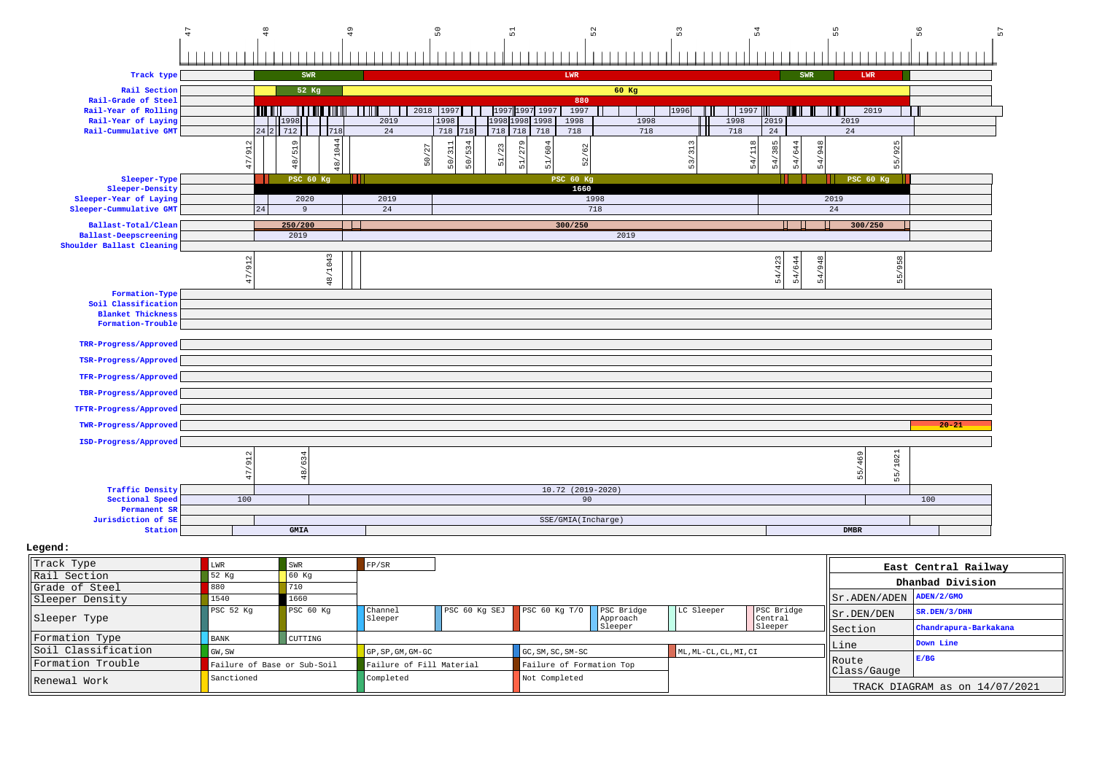

## **Legend:**

| Track Type          | ∴WR         | <b>SWR</b>                                              | FP/SR                            |                     |                          |                        |                       |                       |                                                                       | East Central Railway  |  |
|---------------------|-------------|---------------------------------------------------------|----------------------------------|---------------------|--------------------------|------------------------|-----------------------|-----------------------|-----------------------------------------------------------------------|-----------------------|--|
| Rail Section        | 52 Kg       | 60 Kq                                                   |                                  |                     |                          |                        |                       |                       |                                                                       |                       |  |
| Grade of Steel      |             |                                                         |                                  |                     |                          |                        |                       |                       |                                                                       | Dhanbad Division      |  |
| Sleeper Density     | 1540        | 1660                                                    |                                  |                     |                          |                        |                       |                       | $\sqrt{\text{ST ADEM}/\text{ADEN}}$ $\sqrt{\text{ADEN}/2/\text{GMO}}$ |                       |  |
| Sleeper Type        | PSC 52 Kg   | PSC 60 Kg                                               | Channel<br>Sleeper               | PSC 60 Kg SEJ       | PSC 60 Kq T/O            | PSC Bridge<br>Approach | LC Sleeper            | PSC Bridge<br>Central | $\left  \right $ Sr. DEN/DEN                                          | SR.DEN/3/DHN          |  |
|                     |             |                                                         |                                  |                     |                          | Sleeper                |                       | Sleeper               | <i>Section</i>                                                        | Chandrapura-Barkakana |  |
| Formation Type      | <b>BANK</b> | CUTTING                                                 |                                  |                     |                          |                        |                       |                       |                                                                       | Down Line             |  |
| Soil Classification | GW, SW      |                                                         | $GP$ , $SP$ , $GM$ , $GM$ - $GC$ | $GC, SM, SC, SM-SC$ |                          |                        | ML, ML-CL, CL, MI, CI |                       | Line                                                                  |                       |  |
| Formation Trouble   |             | Failure of Base or Sub-Soil<br>Failure of Fill Material |                                  |                     | Failure of Formation Top |                        |                       |                       | <b>IRoute</b><br>Class/Gauge                                          | E/BG                  |  |
| Renewal Work        | Sanctioned  |                                                         | Completed                        |                     | Not Completed            |                        |                       |                       |                                                                       |                       |  |
|                     |             |                                                         |                                  |                     |                          |                        |                       |                       | TRACK DIAGRAM as on 14/07/2021                                        |                       |  |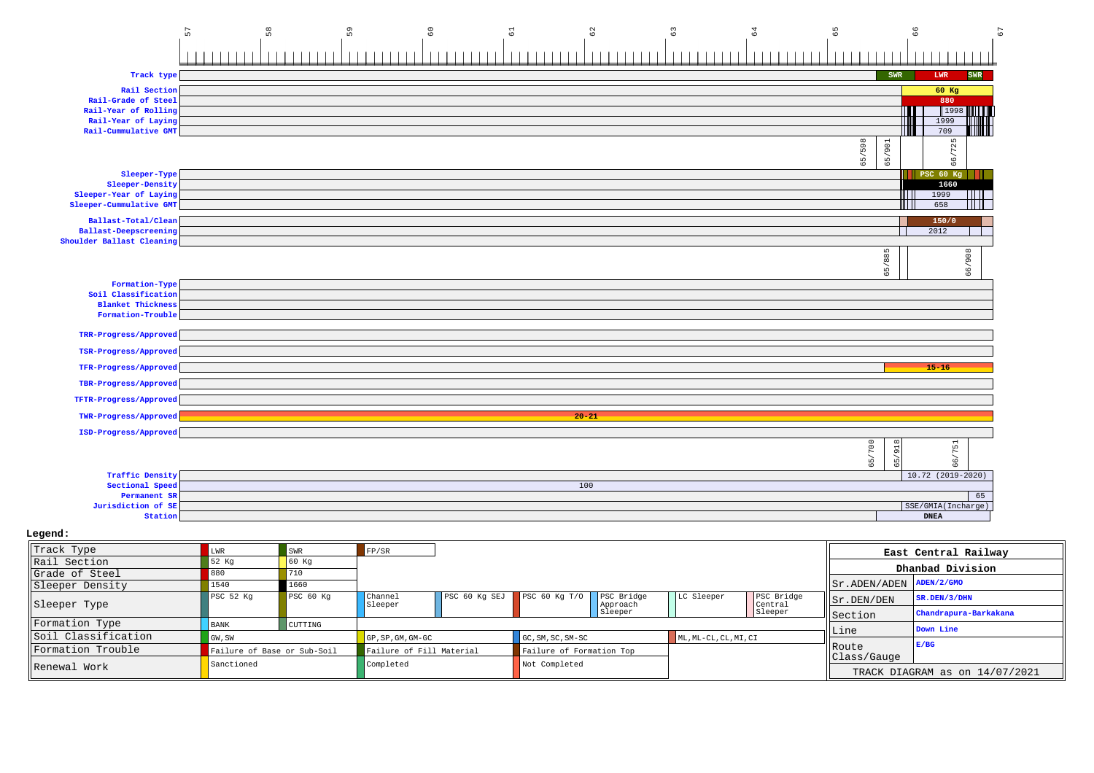| 57                        | $_{58}$      | 59             |                               | $\rm ^{\circ}$ | $\overline{\mathbb{G}}$ | $^{62}$   | $63$ | 64 | 65               | $66$                            | 67                   |
|---------------------------|--------------|----------------|-------------------------------|----------------|-------------------------|-----------|------|----|------------------|---------------------------------|----------------------|
|                           |              |                |                               |                |                         |           |      |    |                  |                                 |                      |
|                           |              |                |                               |                |                         |           |      |    |                  |                                 |                      |
| Track type                |              |                |                               |                |                         |           |      |    |                  | SWR<br><b>LWR</b>               | SWR                  |
| Rail Section              |              |                |                               |                |                         |           |      |    |                  |                                 | 60 Kg                |
| Rail-Grade of Steel       |              |                |                               |                |                         |           |      |    |                  |                                 | 880                  |
| Rail-Year of Rolling      |              |                |                               |                |                         |           |      |    |                  |                                 | 1998                 |
| Rail-Year of Laying       |              |                |                               |                |                         |           |      |    |                  | 1999                            |                      |
| Rail-Cummulative GMT      |              |                |                               |                |                         |           |      |    |                  |                                 | 709                  |
|                           |              |                |                               |                |                         |           |      |    | 65/598<br>65/901 |                                 | 66/725               |
| Sleeper-Type              |              |                |                               |                |                         |           |      |    |                  | PSC 60 Kg                       |                      |
| Sleeper-Density           |              |                |                               |                |                         |           |      |    |                  |                                 | 1660                 |
| Sleeper-Year of Laying    |              |                |                               |                |                         |           |      |    |                  | Ш<br>1999                       | <b>TITLE</b>         |
| Sleeper-Cummulative GMT   |              |                |                               |                |                         |           |      |    |                  | 658<br>11 I I I                 | ШT                   |
| Ballast-Total/Clean       |              |                |                               |                |                         |           |      |    |                  | 150/0                           |                      |
| Ballast-Deepscreening     |              |                |                               |                |                         |           |      |    |                  | 2012                            |                      |
| Shoulder Ballast Cleaning |              |                |                               |                |                         |           |      |    |                  |                                 |                      |
|                           |              |                |                               |                |                         |           |      |    | 65/885           |                                 | 66/908               |
| Formation-Type            |              |                |                               |                |                         |           |      |    |                  |                                 |                      |
| Soil Classification       |              |                |                               |                |                         |           |      |    |                  |                                 |                      |
| <b>Blanket Thickness</b>  |              |                |                               |                |                         |           |      |    |                  |                                 |                      |
| Formation-Trouble         |              |                |                               |                |                         |           |      |    |                  |                                 |                      |
| TRR-Progress/Approved     |              |                |                               |                |                         |           |      |    |                  |                                 |                      |
| TSR-Progress/Approved     |              |                |                               |                |                         |           |      |    |                  |                                 |                      |
| TFR-Progress/Approved     |              |                |                               |                |                         |           |      |    |                  | $15 - 16$                       |                      |
| TBR-Progress/Approved     |              |                |                               |                |                         |           |      |    |                  |                                 |                      |
| TFTR-Progress/Approved    |              |                |                               |                |                         |           |      |    |                  |                                 |                      |
| TWR-Progress/Approved     |              |                |                               |                |                         | $20 - 21$ |      |    |                  |                                 |                      |
| ISD-Progress/Approved     |              |                |                               |                |                         |           |      |    |                  |                                 |                      |
|                           |              |                |                               |                |                         |           |      |    | 65/700           | $\overline{5}$<br>$\frac{1}{2}$ | /751<br>99           |
| <b>Traffic Density</b>    |              |                |                               |                |                         |           |      |    |                  |                                 | $10.72$ (2019-2020)  |
| Sectional Speed           |              |                |                               |                |                         | 100       |      |    |                  |                                 |                      |
| Permanent SR              |              |                |                               |                |                         |           |      |    |                  |                                 | 65                   |
| Jurisdiction of SE        |              |                |                               |                |                         |           |      |    |                  |                                 | SSE/GMIA(Incharge)   |
| Station                   |              |                |                               |                |                         |           |      |    |                  | <b>DNEA</b>                     |                      |
| Legend:                   |              |                |                               |                |                         |           |      |    |                  |                                 |                      |
| Track Type                | $_{\rm LWR}$ | $\texttt{SWR}$ | $\mbox{\rm FP}/\mbox{\rm SR}$ |                |                         |           |      |    |                  |                                 | East Central Railway |
| Rail Section              | 52 Kg        | 60 Kg          |                               |                |                         |           |      |    |                  |                                 |                      |
|                           |              |                |                               |                |                         |           |      |    |                  |                                 | Dhanbad Division     |

| $1 + \alpha$ $1 + \gamma$    | ∎ <i>ш</i> тт⊥∖                                         | ∽ויים     | 17 F / OIX         |                            |                            |          |                       |                       |                                    | kast Central kallway  |  |
|------------------------------|---------------------------------------------------------|-----------|--------------------|----------------------------|----------------------------|----------|-----------------------|-----------------------|------------------------------------|-----------------------|--|
| Rail Section                 | 52 Kg                                                   | 60 Kq     |                    |                            |                            |          |                       |                       |                                    | Dhanbad Division      |  |
| Grade of Steel               |                                                         | 710       |                    |                            |                            |          |                       |                       |                                    |                       |  |
| Sleeper Density              | 540                                                     | 660'      |                    |                            |                            |          |                       |                       | $  $ Sr. ADEN/ADEN $  $ ADEN/2/GMO |                       |  |
| Sleeper Type                 | PSC <sub>52</sub> Kq                                    | PSC 60 Kq | Channel<br>Sleeper | PSC 60 Kg SEJ              | PSC 60 Kg T/O   PSC Bridge | Approach | LC Sleeper            | PSC Bridge<br>Central | Sr.DEN/DEN                         | SR.DEN/3/DHN          |  |
|                              |                                                         |           |                    |                            |                            | Sleeper  |                       | Sleeper               | lsection!                          | Chandrapura-Barkakana |  |
| Formation Type               | <b>BANK</b>                                             | CUTTING   |                    |                            |                            |          |                       |                       |                                    | Down Line             |  |
| Soil Classification          | GW, SW                                                  |           | GP, SP, GM, GM-GC  |                            | GC, SM, SC, SM-SC          |          | ML, ML-CL, CL, MI, CI |                       | llLine                             |                       |  |
| Formation Trouble            | Failure of Base or Sub-Soil<br>Failure of Fill Material |           |                    |                            | Failure of Formation Top   |          |                       |                       | <b>IRoute</b><br>Class/Gauge       | E/BG                  |  |
| Sanctioned<br>  Renewal Work |                                                         |           |                    | Not Completed<br>Completed |                            |          |                       |                       |                                    |                       |  |
|                              |                                                         |           |                    |                            |                            |          |                       |                       | TRACK DIAGRAM as on 14/07/2021     |                       |  |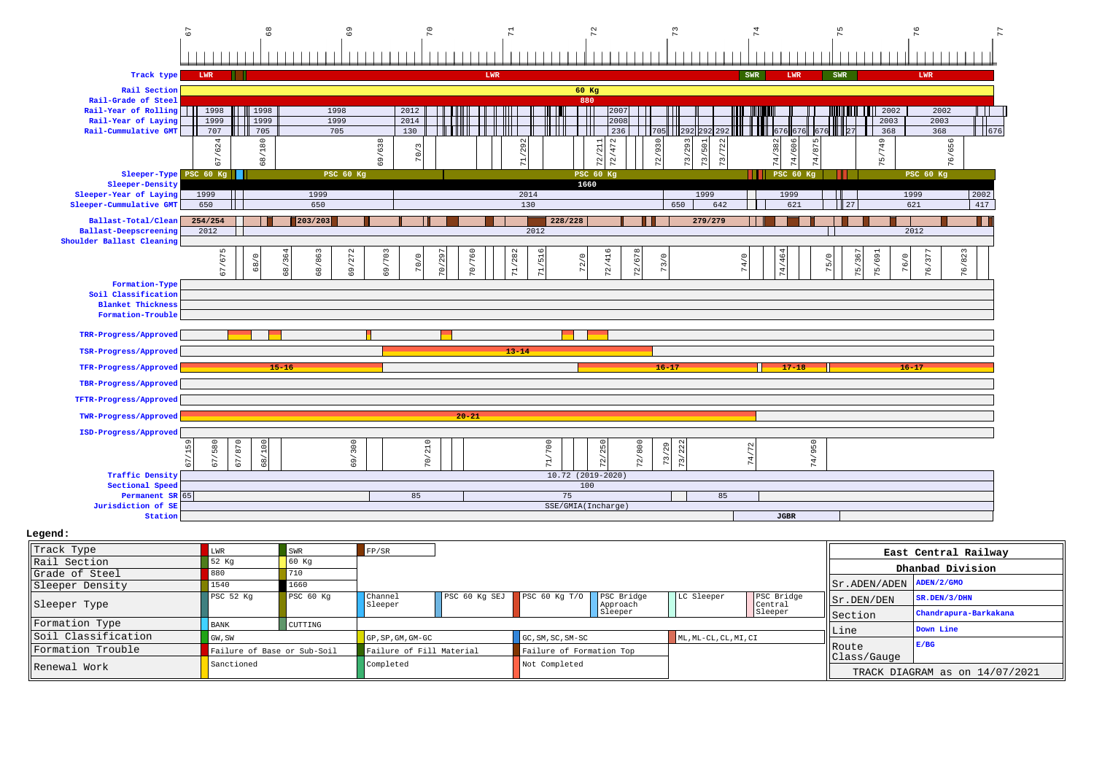

## **Legend:**

| Track Type          | T.WR                        | <b>SWR</b> | FP/SR                            |               |                          |                        |                                |                       |                                   | East Central Railway  |  |
|---------------------|-----------------------------|------------|----------------------------------|---------------|--------------------------|------------------------|--------------------------------|-----------------------|-----------------------------------|-----------------------|--|
| Rail Section        | 52 Kg                       | 60 Kg      |                                  |               |                          |                        |                                |                       |                                   | Dhanbad Division      |  |
| Grade of Steel      |                             | 710        |                                  |               |                          |                        |                                |                       |                                   |                       |  |
| Sleeper Density     | 1540                        | 1660       |                                  |               |                          |                        |                                |                       | $ Sr $ . ADEN/ADEN $ $ ADEN/2/GMO |                       |  |
| Sleeper Type        | PSC 52 Kg                   | PSC 60 Kq  | Channel<br>Sleeper               | PSC 60 Kg SEJ | PSC $60$ Kq $T/O$        | PSC Bridge<br>Approach | LC Sleeper                     | PSC Bridge<br>Central | Sr.DEN/DEN                        | SR.DEN/3/DHN          |  |
|                     |                             |            |                                  |               |                          | Sleeper                |                                | Sleeper               | Section                           | Chandrapura-Barkakana |  |
| Formation Type      | <b>BANK</b>                 | CUTTING    |                                  |               |                          |                        |                                |                       |                                   | Down Line             |  |
| Soil Classification | GW, SW                      |            | $GP$ , $SP$ , $GM$ , $GM$ - $GC$ |               | GC, SM, SC, SM-SC        |                        | ML, ML-CL, CL, MI, CI          |                       | Line                              |                       |  |
| Formation Trouble   | Failure of Base or Sub-Soil |            | Failure of Fill Material         |               | Failure of Formation Top |                        |                                |                       | <b>IRoute</b>                     | E/BG                  |  |
|                     | Sanctioned                  |            | Completed                        |               |                          | Not Completed          |                                |                       | Class/Gauge                       |                       |  |
| Renewal Work        |                             |            |                                  |               |                          |                        | TRACK DIAGRAM as on 14/07/2021 |                       |                                   |                       |  |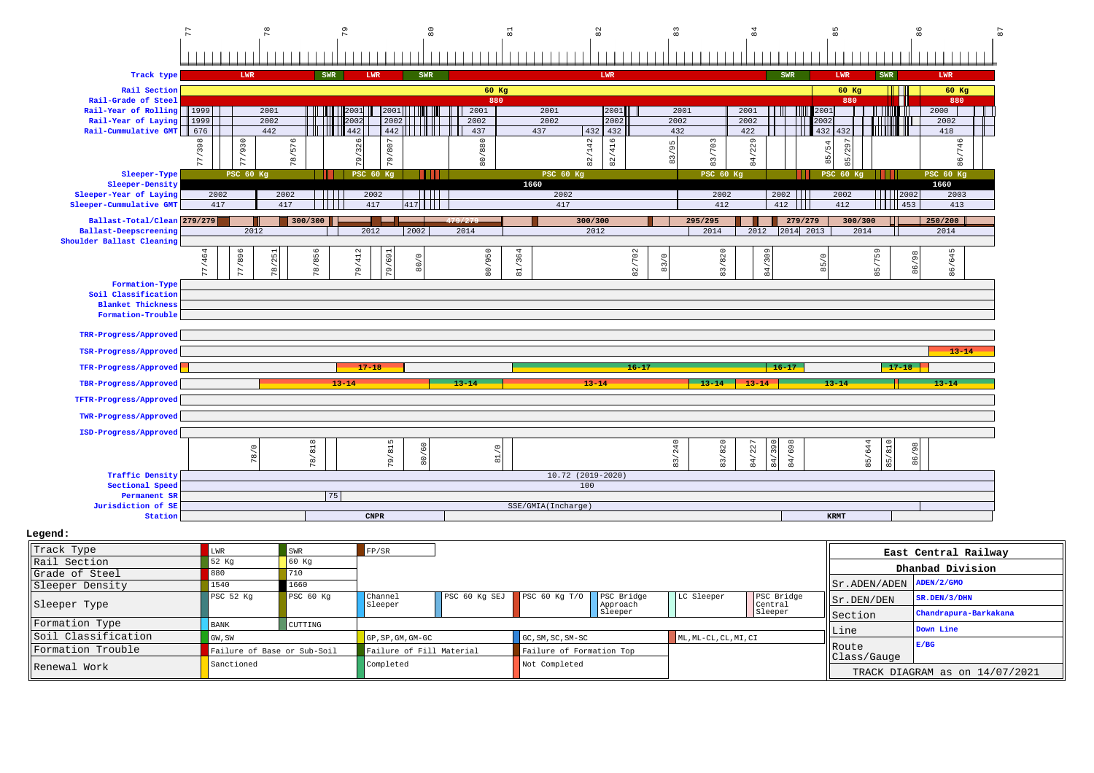|                                                    |                              |                 | 79               | $\overline{6}$                     |              | $\approx$          | $_{\rm 82}$          |                     |                        | $\overline{6}$          | 85                                                             |                | 86                                    |              |
|----------------------------------------------------|------------------------------|-----------------|------------------|------------------------------------|--------------|--------------------|----------------------|---------------------|------------------------|-------------------------|----------------------------------------------------------------|----------------|---------------------------------------|--------------|
|                                                    |                              |                 |                  |                                    |              |                    |                      |                     |                        |                         |                                                                |                |                                       |              |
|                                                    |                              |                 |                  |                                    |              |                    |                      |                     |                        |                         |                                                                |                |                                       |              |
| Track type                                         | LWR                          |                 | SWR              | SWR<br>LWR                         |              |                    | LWR                  |                     |                        | SWR                     | LWR                                                            | SWR            | LWR                                   |              |
| <b>Rail Section</b><br>Rail-Grade of Steel         |                              |                 |                  |                                    | 60 Kg<br>880 |                    |                      |                     |                        |                         |                                                                | 60 Kg<br>880   |                                       | 60 Kg<br>880 |
| Rail-Year of Rolling 1999                          |                              | 2001            | 2001             |                                    | 2001         | 2001               | 2001                 |                     | 2001                   | 2001                    | 2001                                                           |                | 2000                                  |              |
| Rail-Year of Laying                                | 1999                         | 2002            | 002              | 2002                               | 2002         | 2002               | 2002                 | 2002                |                        | 2002                    | 200                                                            |                | 2002                                  |              |
| Rail-Cummulative GMT 676                           |                              | 442             | 442              | 442                                | 437          | 437                | 432<br>432           | 432                 |                        | 422                     | 432<br>432                                                     |                | 418                                   |              |
|                                                    | 398<br>/930<br>$\mathcal{L}$ | 576<br>78/      | 326              | 79/807                             | 80/880       |                    | 82/142<br>416<br>82/ | 95<br>$\frac{8}{3}$ | 7703<br>$\overline{3}$ | /229                    | 4<br>$\mathsf{L} \Omega$<br>$\overline{85}$<br>$\overline{10}$ | 97<br>$\alpha$ |                                       | 86/746       |
| Sleeper-Type                                       | 77<br>PSC 60 Kg              |                 | 79               | <b>PSC 60 Kg</b><br>. .            |              | PSC 60 Kg          |                      |                     | PSC 60 Kg              | 84                      | <b>PSC 60 Kg</b>                                               | $\infty$<br>.  | PSC 60 Kg                             |              |
| Sleeper-Density                                    |                              |                 |                  |                                    |              | 1660               |                      |                     |                        |                         |                                                                |                | 1660                                  |              |
| Sleeper-Year of Laying                             | 2002                         | 2002            |                  | HH I<br>2002                       |              | 2002               |                      |                     | 2002                   | $2002$                  | 2002                                                           |                | $\frac{1}{2002}$                      | 2003         |
| Sleeper-Cummulative GMT                            | 417                          | 417             |                  | 417<br>$417$                       |              | 417                |                      |                     | 412                    | 412                     | Ш<br>412                                                       |                | 453                                   | 413          |
| Ballast-Total/Clean 279/279                        |                              | 300/300         |                  |                                    | 79/279       |                    | 300/300              |                     | 295/295                |                         | 279/279                                                        | 300/300        | 250/200                               |              |
| Ballast-Deepscreening<br>Shoulder Ballast Cleaning | 2012                         |                 |                  | 2012<br>2002                       | 2014         |                    | 2012                 |                     | 2014                   | 2012                    | 2014 2013                                                      | 2014           | 2014                                  |              |
|                                                    |                              |                 |                  |                                    |              |                    |                      |                     |                        |                         |                                                                |                | $\infty$                              |              |
|                                                    | 464<br>77/896                | 51<br>$\approx$ | 79/412<br>78/856 | 79/691<br>$\circ$<br>$\frac{6}{6}$ | 80/950       | 364                | 82/702               | $\circ$<br>$\sim$   | 83/820                 | 309                     | 85/0                                                           | 85/759         | 86/645<br>$\sigma$<br>$\tilde{\circ}$ |              |
|                                                    | $\sim$                       | $\overline{ }$  |                  |                                    |              | $\overline{a}$     |                      | $\sim$              |                        | $\overline{84}$         |                                                                |                | $\infty$                              |              |
| Formation-Type<br>Soil Classification              |                              |                 |                  |                                    |              |                    |                      |                     |                        |                         |                                                                |                |                                       |              |
| <b>Blanket Thickness</b>                           |                              |                 |                  |                                    |              |                    |                      |                     |                        |                         |                                                                |                |                                       |              |
| Formation-Trouble                                  |                              |                 |                  |                                    |              |                    |                      |                     |                        |                         |                                                                |                |                                       |              |
| TRR-Progress/Approved                              |                              |                 |                  |                                    |              |                    |                      |                     |                        |                         |                                                                |                |                                       |              |
| TSR-Progress/Approved                              |                              |                 |                  |                                    |              |                    |                      |                     |                        |                         |                                                                |                |                                       | $13 - 14$    |
| TFR-Progress/Approved                              |                              |                 |                  | $17 - 18$                          |              |                    |                      | $16 - 17$           |                        | $-16 - 17$              |                                                                |                | $17 - 18$                             |              |
| TBR-Progress/Approved                              |                              |                 | $13 - 14$        |                                    | $13 - 14$    |                    | $13 - 14$            |                     | $13 - 14$              | $13 - 14$               | $13 - 14$                                                      |                | $-13 - 14$                            |              |
| TFTR-Progress/Approved                             |                              |                 |                  |                                    |              |                    |                      |                     |                        |                         |                                                                |                |                                       |              |
| TWR-Progress/Approved                              |                              |                 |                  |                                    |              |                    |                      |                     |                        |                         |                                                                |                |                                       |              |
|                                                    |                              |                 |                  |                                    |              |                    |                      |                     |                        |                         |                                                                |                |                                       |              |
| ISD-Progress/Approved                              |                              |                 | $\infty$         | 5                                  |              |                    |                      |                     |                        |                         |                                                                |                | $\infty$                              |              |
|                                                    | $\subset$<br>$\alpha$        |                 | 78/81            | $\rm ^{\circ}$<br>$/$ 81           | 81/0         |                    |                      | 83/240              | 83/820                 | 390<br>84/698<br>84/227 |                                                                | 85/644         | $\circ$                               |              |
|                                                    |                              |                 |                  | $\overline{80}$<br>$\mathcal{L}$   |              |                    |                      |                     |                        | $\frac{3}{4}$           |                                                                |                | $\frac{86}{ }$                        |              |
| <b>Traffic Density</b>                             |                              |                 |                  |                                    |              |                    | $10.72$ (2019-2020)  |                     |                        |                         |                                                                |                |                                       |              |
| Sectional Speed                                    |                              |                 | 75               |                                    |              |                    | 100                  |                     |                        |                         |                                                                |                |                                       |              |
|                                                    |                              |                 |                  |                                    |              |                    |                      |                     |                        |                         |                                                                |                |                                       |              |
| Permanent SR<br>Jurisdiction of SE                 |                              |                 |                  |                                    |              | SSE/GMIA(Incharge) |                      |                     |                        |                         |                                                                |                |                                       |              |

 Track Typee Burn Barnet Bank and the SWR SWR FP/SR Rail Sectionn 52 Kg 60 Kg Grade of Steel1 880 710 Sleeper Density<u>1540 1660</u><br>PSC 52 Kg PSC Sleeper Typeg BSC 60 Kg Channel PSC 60 Kg SEJ PSC 60 Kg T/O PSC Bridge Approach SleeperLC Sleeper PSC Bridge Central SleeperFormation TypeBANK CUTTING Soil ClassificationGP, SP, GM, GM - GC GC, SM, SC, SM - SC ML, ML-CL, CL, MI, CI Formation TroubleFailure of Base or Sub-Soil Failure of Fill Material Failure of Formation Top Sanctioned Completed Not Completed Renewal Workk entitled completed Not Completed Not Completed  $\blacksquare$ **East Central RailwayDhanbad Division**Sr.ADEN/ADEN **ADEN/2/GMO** Sr.DEN/DEN **SR.DEN/3/DHN** Section **Chandrapura-Barkakana** Line **Down Line** Route Class/Gauge TRACK DIAGRAM as on 14/07/2021**E/BG**